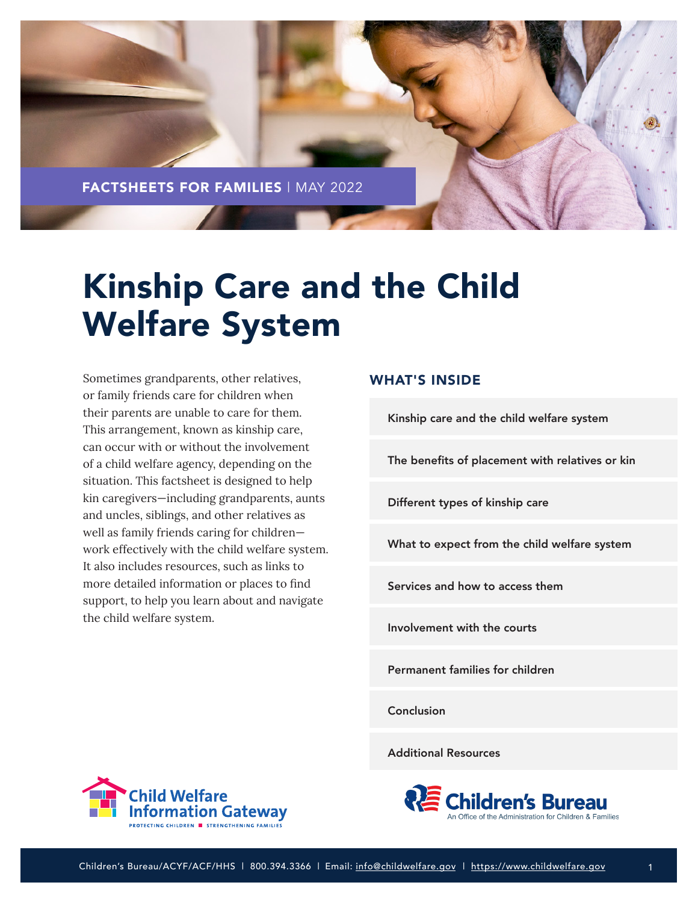

# Kinship Care and the Child Welfare System

Sometimes grandparents, other relatives, or family friends care for children when their parents are unable to care for them. This arrangement, known as kinship care, can occur with or without the involvement of a child welfare agency, depending on the situation. This factsheet is designed to help kin caregivers—including grandparents, aunts and uncles, siblings, and other relatives as well as family friends caring for children work effectively with the child welfare system. It also includes resources, such as links to more detailed information or places to find support, to help you learn about and navigate the child welfare system.

## WHAT'S INSIDE

[Kinship care and the child welfare system](#page-1-0)

[The benefits of placement with relatives or kin](#page-2-0)

[Different types of kinship care](#page-3-0)

[What to expect from the child welfare system](#page-5-0)

[Services and how to access them](#page-8-0)

[Involvement with the courts](#page-11-0)

[Permanent families for children](#page-11-0)

[Conclusion](#page-14-0)

[Additional Resources](#page-14-0)



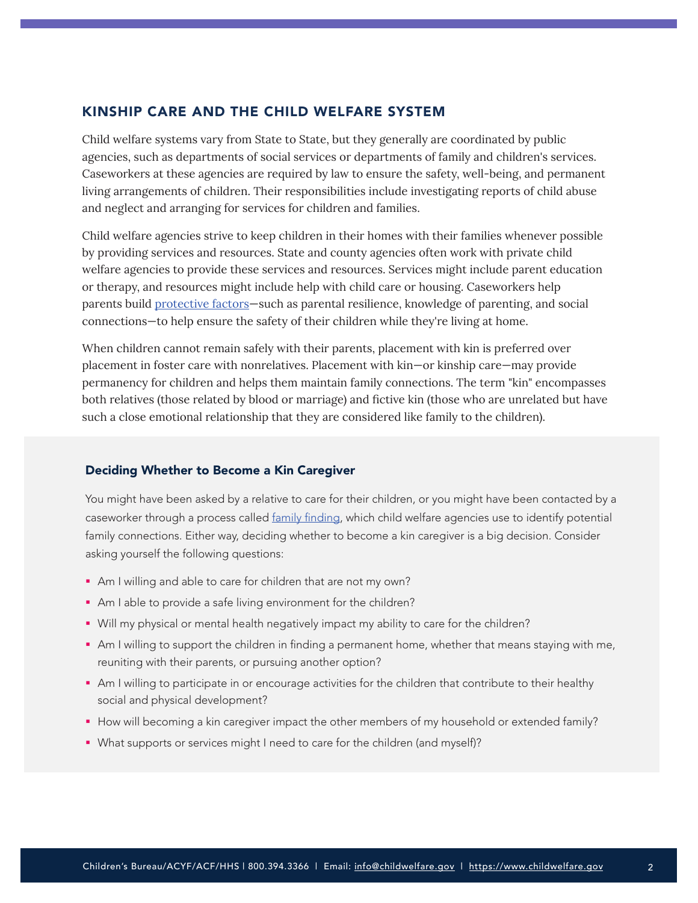## <span id="page-1-0"></span>KINSHIP CARE AND THE CHILD WELFARE SYSTEM

Child welfare systems vary from State to State, but they generally are coordinated by public agencies, such as departments of social services or departments of family and children's services. Caseworkers at these agencies are required by law to ensure the safety, well-being, and permanent living arrangements of children. Their responsibilities include investigating reports of child abuse and neglect and arranging for services for children and families.

Child welfare agencies strive to keep children in their homes with their families whenever possible by providing services and resources. State and county agencies often work with private child welfare agencies to provide these services and resources. Services might include parent education or therapy, and resources might include help with child care or housing. Caseworkers help parents build [protective factors—](https://www.childwelfare.gov/topics/preventing/promoting/protectfactors/)such as parental resilience, knowledge of parenting, and social connections—to help ensure the safety of their children while they're living at home.

When children cannot remain safely with their parents, placement with kin is preferred over placement in foster care with nonrelatives. Placement with kin—or kinship care—may provide permanency for children and helps them maintain family connections. The term "kin" encompasses both relatives (those related by blood or marriage) and fictive kin (those who are unrelated but have such a close emotional relationship that they are considered like family to the children).

#### Deciding Whether to Become a Kin Caregiver

You might have been asked by a relative to care for their children, or you might have been contacted by a caseworker through a process called [family finding](https://www.familyfinding.org/), which child welfare agencies use to identify potential family connections. Either way, deciding whether to become a kin caregiver is a big decision. Consider asking yourself the following questions:

- Am I willing and able to care for children that are not my own?
- Am I able to provide a safe living environment for the children?
- Will my physical or mental health negatively impact my ability to care for the children?
- Am I willing to support the children in finding a permanent home, whether that means staying with me, reuniting with their parents, or pursuing another option?
- Am I willing to participate in or encourage activities for the children that contribute to their healthy social and physical development?
- How will becoming a kin caregiver impact the other members of my household or extended family?
- What supports or services might I need to care for the children (and myself)?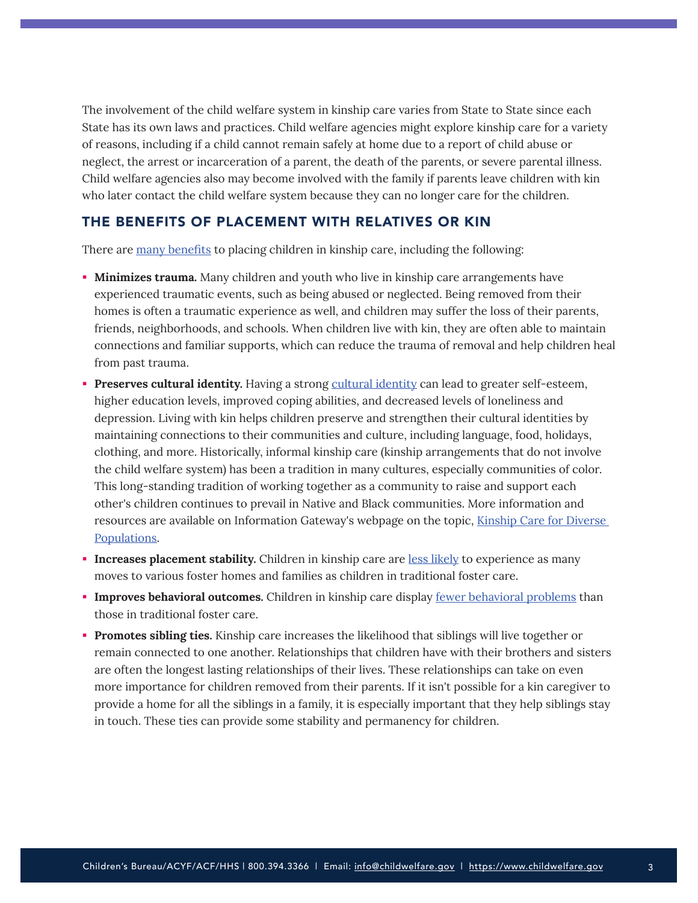<span id="page-2-0"></span>The involvement of the child welfare system in kinship care varies from State to State since each State has its own laws and practices. Child welfare agencies might explore kinship care for a variety of reasons, including if a child cannot remain safely at home due to a report of child abuse or neglect, the arrest or incarceration of a parent, the death of the parents, or severe parental illness. Child welfare agencies also may become involved with the family if parents leave children with kin who later contact the child welfare system because they can no longer care for the children.

## THE BENEFITS OF PLACEMENT WITH RELATIVES OR KIN

There are [many benefits](https://www.childwelfare.gov/topics/permanency/relatives/impact/) to placing children in kinship care, including the following:

- **Minimizes trauma.** Many children and youth who live in kinship care arrangements have experienced traumatic events, such as being abused or neglected. Being removed from their homes is often a traumatic experience as well, and children may suffer the loss of their parents, friends, neighborhoods, and schools. When children live with kin, they are often able to maintain connections and familiar supports, which can reduce the trauma of removal and help children heal from past trauma.
- **Preserves cultural identity.** Having a strong [cultural identity](https://www.americanbar.org/groups/public_interest/child_law/resources/child_law_practiceonline/january---december-2019/supporting-cultural-identity-for-children-in-foster-care/) can lead to greater self-esteem, higher education levels, improved coping abilities, and decreased levels of loneliness and depression. Living with kin helps children preserve and strengthen their cultural identities by maintaining connections to their communities and culture, including language, food, holidays, clothing, and more. Historically, informal kinship care (kinship arrangements that do not involve the child welfare system) has been a tradition in many cultures, especially communities of color. This long-standing tradition of working together as a community to raise and support each other's children continues to prevail in Native and Black communities. More information and resources are available on Information Gateway's webpage on the topic, [Kinship Care for Diverse](https://www.childwelfare.gov/topics/outofhome/kinship/diverse/)  [Populations.](https://www.childwelfare.gov/topics/outofhome/kinship/diverse/)
- **Increases placement stability.** Children in kinship care are [less likely](https://doi.org/10.1016/j.childyouth.2021.106000) to experience as many moves to various foster homes and families as children in traditional foster care.
- **Improves behavioral outcomes.** Children in kinship care display [fewer behavioral problems](https://www.aecf.org/blog/what-is-kinship-care) than those in traditional foster care.
- **Promotes sibling ties.** Kinship care increases the likelihood that siblings will live together or remain connected to one another. Relationships that children have with their brothers and sisters are often the longest lasting relationships of their lives. These relationships can take on even more importance for children removed from their parents. If it isn't possible for a kin caregiver to provide a home for all the siblings in a family, it is especially important that they help siblings stay in touch. These ties can provide some stability and permanency for children.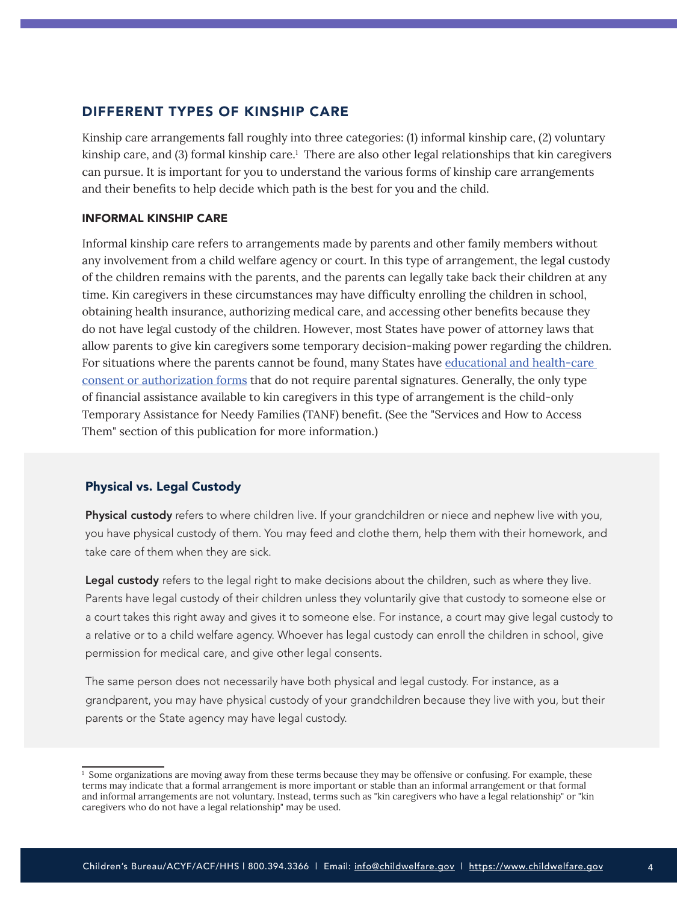## <span id="page-3-0"></span>DIFFERENT TYPES OF KINSHIP CARE

Kinship care arrangements fall roughly into three categories: (1) informal kinship care, (2) voluntary kinship care, and (3) formal kinship care.1 There are also other legal relationships that kin caregivers can pursue. It is important for you to understand the various forms of kinship care arrangements and their benefits to help decide which path is the best for you and the child.

#### INFORMAL KINSHIP CARE

Informal kinship care refers to arrangements made by parents and other family members without any involvement from a child welfare agency or court. In this type of arrangement, the legal custody of the children remains with the parents, and the parents can legally take back their children at any time. Kin caregivers in these circumstances may have difficulty enrolling the children in school, obtaining health insurance, authorizing medical care, and accessing other benefits because they do not have legal custody of the children. However, most States have power of attorney laws that allow parents to give kin caregivers some temporary decision-making power regarding the children. For situations where the parents cannot be found, many States have [educational and health-care](https://www.grandfamilies.org/Portals/0/Documents/Education/GU%20Policy%20Brief%20October%202014.pdf)  [consent or authorization forms](https://www.grandfamilies.org/Portals/0/Documents/Education/GU%20Policy%20Brief%20October%202014.pdf) that do not require parental signatures. Generally, the only type of financial assistance available to kin caregivers in this type of arrangement is the child-only Temporary Assistance for Needy Families (TANF) benefit. (See the "Services and How to Access Them" section of this publication for more information.)

#### Physical vs. Legal Custody

Physical custody refers to where children live. If your grandchildren or niece and nephew live with you, you have physical custody of them. You may feed and clothe them, help them with their homework, and take care of them when they are sick.

Legal custody refers to the legal right to make decisions about the children, such as where they live. Parents have legal custody of their children unless they voluntarily give that custody to someone else or a court takes this right away and gives it to someone else. For instance, a court may give legal custody to a relative or to a child welfare agency. Whoever has legal custody can enroll the children in school, give permission for medical care, and give other legal consents.

The same person does not necessarily have both physical and legal custody. For instance, as a grandparent, you may have physical custody of your grandchildren because they live with you, but their parents or the State agency may have legal custody.

<sup>&</sup>lt;sup>1</sup> Some organizations are moving away from these terms because they may be offensive or confusing. For example, these terms may indicate that a formal arrangement is more important or stable than an informal arrangement or that formal and informal arrangements are not voluntary. Instead, terms such as "kin caregivers who have a legal relationship" or "kin caregivers who do not have a legal relationship" may be used.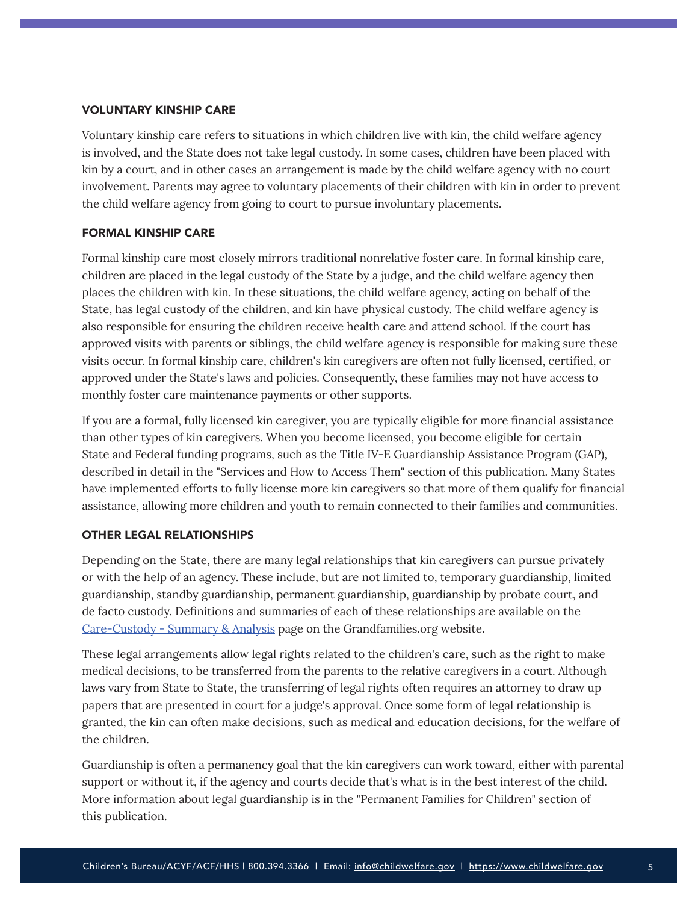#### VOLUNTARY KINSHIP CARE

Voluntary kinship care refers to situations in which children live with kin, the child welfare agency is involved, and the State does not take legal custody. In some cases, children have been placed with kin by a court, and in other cases an arrangement is made by the child welfare agency with no court involvement. Parents may agree to voluntary placements of their children with kin in order to prevent the child welfare agency from going to court to pursue involuntary placements.

## FORMAL KINSHIP CARE

Formal kinship care most closely mirrors traditional nonrelative foster care. In formal kinship care, children are placed in the legal custody of the State by a judge, and the child welfare agency then places the children with kin. In these situations, the child welfare agency, acting on behalf of the State, has legal custody of the children, and kin have physical custody. The child welfare agency is also responsible for ensuring the children receive health care and attend school. If the court has approved visits with parents or siblings, the child welfare agency is responsible for making sure these visits occur. In formal kinship care, children's kin caregivers are often not fully licensed, certified, or approved under the State's laws and policies. Consequently, these families may not have access to monthly foster care maintenance payments or other supports.

If you are a formal, fully licensed kin caregiver, you are typically eligible for more financial assistance than other types of kin caregivers. When you become licensed, you become eligible for certain State and Federal funding programs, such as the Title IV-E Guardianship Assistance Program (GAP), described in detail in the "Services and How to Access Them" section of this publication. Many States have implemented efforts to fully license more kin caregivers so that more of them qualify for financial assistance, allowing more children and youth to remain connected to their families and communities.

## OTHER LEGAL RELATIONSHIPS

Depending on the State, there are many legal relationships that kin caregivers can pursue privately or with the help of an agency. These include, but are not limited to, temporary guardianship, limited guardianship, standby guardianship, permanent guardianship, guardianship by probate court, and de facto custody. Definitions and summaries of each of these relationships are available on the [Care-Custody - Summary & Analysis](https://www.grandfamilies.org/Topics/Care-Custody/Care-Custody-Summary-Analysis) page on the Grandfamilies.org website.

These legal arrangements allow legal rights related to the children's care, such as the right to make medical decisions, to be transferred from the parents to the relative caregivers in a court. Although laws vary from State to State, the transferring of legal rights often requires an attorney to draw up papers that are presented in court for a judge's approval. Once some form of legal relationship is granted, the kin can often make decisions, such as medical and education decisions, for the welfare of the children.

Guardianship is often a permanency goal that the kin caregivers can work toward, either with parental support or without it, if the agency and courts decide that's what is in the best interest of the child. More information about legal guardianship is in the "Permanent Families for Children" section of this publication.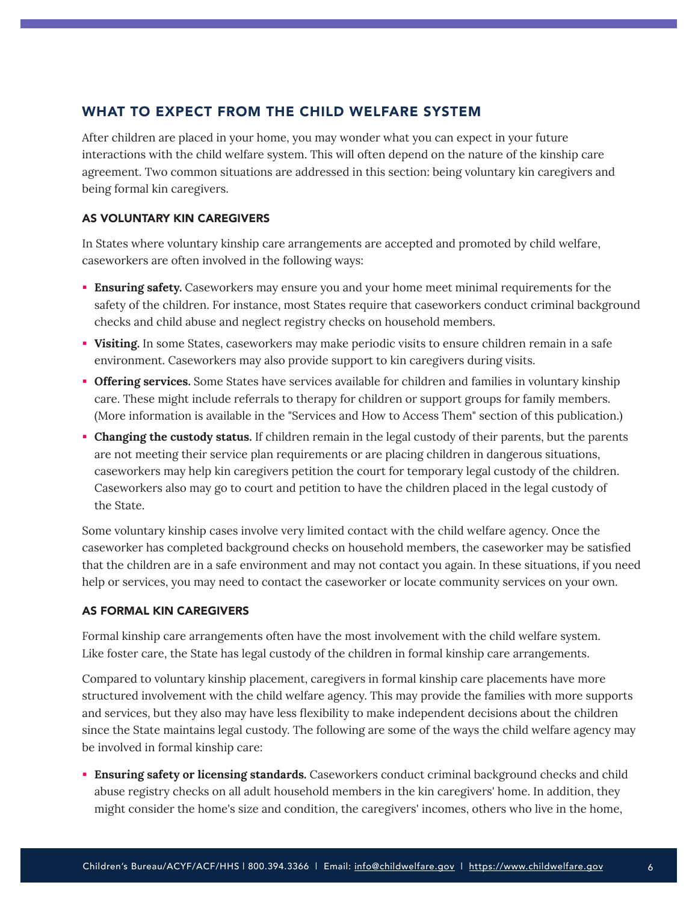# <span id="page-5-0"></span>WHAT TO EXPECT FROM THE CHILD WELFARE SYSTEM

After children are placed in your home, you may wonder what you can expect in your future interactions with the child welfare system. This will often depend on the nature of the kinship care agreement. Two common situations are addressed in this section: being voluntary kin caregivers and being formal kin caregivers.

## AS VOLUNTARY KIN CAREGIVERS

In States where voluntary kinship care arrangements are accepted and promoted by child welfare, caseworkers are often involved in the following ways:

- **Ensuring safety.** Caseworkers may ensure you and your home meet minimal requirements for the safety of the children. For instance, most States require that caseworkers conduct criminal background checks and child abuse and neglect registry checks on household members.
- **Visiting.** In some States, caseworkers may make periodic visits to ensure children remain in a safe environment. Caseworkers may also provide support to kin caregivers during visits.
- **Offering services.** Some States have services available for children and families in voluntary kinship care. These might include referrals to therapy for children or support groups for family members. (More information is available in the "Services and How to Access Them" section of this publication.)
- **Changing the custody status.** If children remain in the legal custody of their parents, but the parents are not meeting their service plan requirements or are placing children in dangerous situations, caseworkers may help kin caregivers petition the court for temporary legal custody of the children. Caseworkers also may go to court and petition to have the children placed in the legal custody of the State.

Some voluntary kinship cases involve very limited contact with the child welfare agency. Once the caseworker has completed background checks on household members, the caseworker may be satisfied that the children are in a safe environment and may not contact you again. In these situations, if you need help or services, you may need to contact the caseworker or locate community services on your own.

## AS FORMAL KIN CAREGIVERS

Formal kinship care arrangements often have the most involvement with the child welfare system. Like foster care, the State has legal custody of the children in formal kinship care arrangements.

Compared to voluntary kinship placement, caregivers in formal kinship care placements have more structured involvement with the child welfare agency. This may provide the families with more supports and services, but they also may have less flexibility to make independent decisions about the children since the State maintains legal custody. The following are some of the ways the child welfare agency may be involved in formal kinship care:

**Ensuring safety or licensing standards.** Caseworkers conduct criminal background checks and child abuse registry checks on all adult household members in the kin caregivers' home. In addition, they might consider the home's size and condition, the caregivers' incomes, others who live in the home,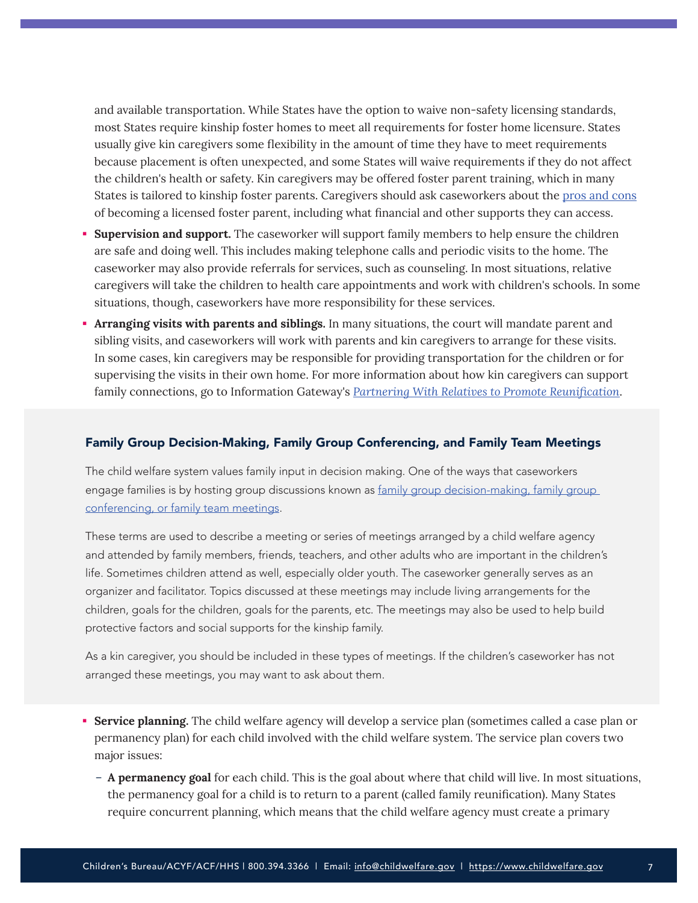and available transportation. While States have the option to waive non-safety licensing standards, most States require kinship foster homes to meet all requirements for foster home licensure. States usually give kin caregivers some flexibility in the amount of time they have to meet requirements because placement is often unexpected, and some States will waive requirements if they do not affect the children's health or safety. Kin caregivers may be offered foster parent training, which in many States is tailored to kinship foster parents. Caregivers should ask caseworkers about the [pros and cons](https://www.grandfamilies.org/Portals/0/Documents/Care-Custody/kin-caregiving-options-dec21%202022-01-10%2022_34_13.pdf) of becoming a licensed foster parent, including what financial and other supports they can access.

- **Supervision and support.** The caseworker will support family members to help ensure the children are safe and doing well. This includes making telephone calls and periodic visits to the home. The caseworker may also provide referrals for services, such as counseling. In most situations, relative caregivers will take the children to health care appointments and work with children's schools. In some situations, though, caseworkers have more responsibility for these services.
- **Arranging visits with parents and siblings.** In many situations, the court will mandate parent and sibling visits, and caseworkers will work with parents and kin caregivers to arrange for these visits. In some cases, kin caregivers may be responsible for providing transportation for the children or for supervising the visits in their own home. For more information about how kin caregivers can support family connections, go to Information Gateway's *[Partnering With Relatives to Promote Reunification](https://www.childwelfare.gov/pubPDFs/factsheets_families_partner_relatives.pdf)*.

#### Family Group Decision-Making, Family Group Conferencing, and Family Team Meetings

The child welfare system values family input in decision making. One of the ways that caseworkers engage families is by hosting group discussions known as family group decision-making, family group [conferencing, or family team meetings](https://www.childwelfare.gov/topics/famcentered/decisions/).

These terms are used to describe a meeting or series of meetings arranged by a child welfare agency and attended by family members, friends, teachers, and other adults who are important in the children's life. Sometimes children attend as well, especially older youth. The caseworker generally serves as an organizer and facilitator. Topics discussed at these meetings may include living arrangements for the children, goals for the children, goals for the parents, etc. The meetings may also be used to help build protective factors and social supports for the kinship family.

As a kin caregiver, you should be included in these types of meetings. If the children's caseworker has not arranged these meetings, you may want to ask about them.

- **Service planning.** The child welfare agency will develop a service plan (sometimes called a case plan or permanency plan) for each child involved with the child welfare system. The service plan covers two major issues:
	- **A permanency goal** for each child. This is the goal about where that child will live. In most situations, the permanency goal for a child is to return to a parent (called family reunification). Many States require concurrent planning, which means that the child welfare agency must create a primary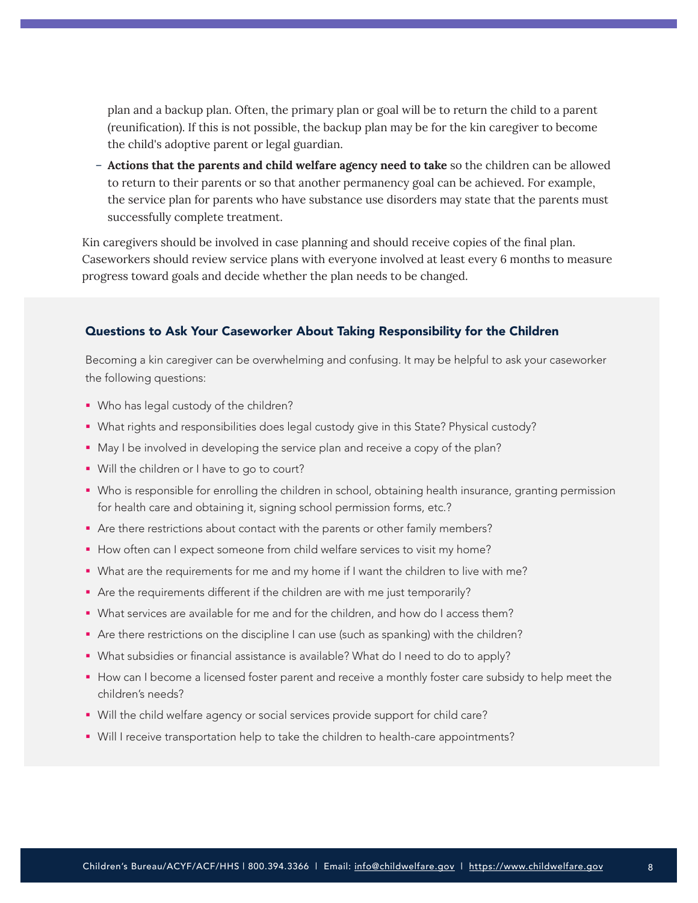plan and a backup plan. Often, the primary plan or goal will be to return the child to a parent (reunification). If this is not possible, the backup plan may be for the kin caregiver to become the child's adoptive parent or legal guardian.

– **Actions that the parents and child welfare agency need to take** so the children can be allowed to return to their parents or so that another permanency goal can be achieved. For example, the service plan for parents who have substance use disorders may state that the parents must successfully complete treatment.

Kin caregivers should be involved in case planning and should receive copies of the final plan. Caseworkers should review service plans with everyone involved at least every 6 months to measure progress toward goals and decide whether the plan needs to be changed.

#### Questions to Ask Your Caseworker About Taking Responsibility for the Children

Becoming a kin caregiver can be overwhelming and confusing. It may be helpful to ask your caseworker the following questions:

- **Who has legal custody of the children?**
- What rights and responsibilities does legal custody give in this State? Physical custody?
- May I be involved in developing the service plan and receive a copy of the plan?
- Will the children or I have to go to court?
- Who is responsible for enrolling the children in school, obtaining health insurance, granting permission for health care and obtaining it, signing school permission forms, etc.?
- Are there restrictions about contact with the parents or other family members?
- How often can I expect someone from child welfare services to visit my home?
- What are the requirements for me and my home if I want the children to live with me?
- Are the requirements different if the children are with me just temporarily?
- What services are available for me and for the children, and how do I access them?
- Are there restrictions on the discipline I can use (such as spanking) with the children?
- What subsidies or financial assistance is available? What do I need to do to apply?
- How can I become a licensed foster parent and receive a monthly foster care subsidy to help meet the children's needs?
- Will the child welfare agency or social services provide support for child care?
- Will I receive transportation help to take the children to health-care appointments?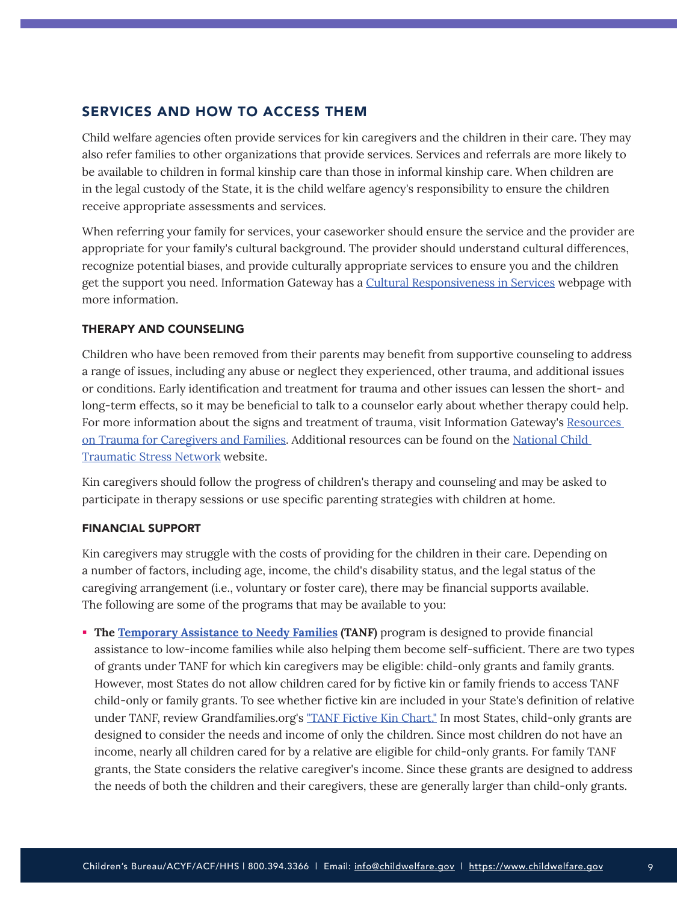## <span id="page-8-0"></span>SERVICES AND HOW TO ACCESS THEM

Child welfare agencies often provide services for kin caregivers and the children in their care. They may also refer families to other organizations that provide services. Services and referrals are more likely to be available to children in formal kinship care than those in informal kinship care. When children are in the legal custody of the State, it is the child welfare agency's responsibility to ensure the children receive appropriate assessments and services.

When referring your family for services, your caseworker should ensure the service and the provider are appropriate for your family's cultural background. The provider should understand cultural differences, recognize potential biases, and provide culturally appropriate services to ensure you and the children get the support you need. Information Gateway has a [Cultural Responsiveness in Services](https://www.childwelfare.gov/topics/systemwide/cultural/services/) webpage with more information.

## THERAPY AND COUNSELING

Children who have been removed from their parents may benefit from supportive counseling to address a range of issues, including any abuse or neglect they experienced, other trauma, and additional issues or conditions. Early identification and treatment for trauma and other issues can lessen the short- and long-term effects, so it may be beneficial to talk to a counselor early about whether therapy could help. For more information about the signs and treatment of trauma, visit Information Gateway's Resources [on Trauma for Caregivers and Families.](https://www.childwelfare.gov/topics/responding/trauma/caregivers/) Additional resources can be found on the [National Child](https://www.nctsn.org/)  [Traumatic Stress Network](https://www.nctsn.org/) website.

Kin caregivers should follow the progress of children's therapy and counseling and may be asked to participate in therapy sessions or use specific parenting strategies with children at home.

## FINANCIAL SUPPORT

Kin caregivers may struggle with the costs of providing for the children in their care. Depending on a number of factors, including age, income, the child's disability status, and the legal status of the caregiving arrangement (i.e., voluntary or foster care), there may be financial supports available. The following are some of the programs that may be available to you:

**The [Temporary Assistance to Needy Families](https://www.benefits.gov/benefit/613) (TANF) program is designed to provide financial** assistance to low-income families while also helping them become self-sufficient. There are two types of grants under TANF for which kin caregivers may be eligible: child-only grants and family grants. However, most States do not allow children cared for by fictive kin or family friends to access TANF child-only or family grants. To see whether fictive kin are included in your State's definition of relative under TANF, review Grandfamilies.org's "[TANF Fictive Kin Chart."](https://www.grandfamilies.org/Portals/0/Documents/Financial%20Assistance/TANF%20Fictive%20Kin%20Chart%20all%20states%20update%2011-18.pdf) In most States, child-only grants are designed to consider the needs and income of only the children. Since most children do not have an income, nearly all children cared for by a relative are eligible for child-only grants. For family TANF grants, the State considers the relative caregiver's income. Since these grants are designed to address the needs of both the children and their caregivers, these are generally larger than child-only grants.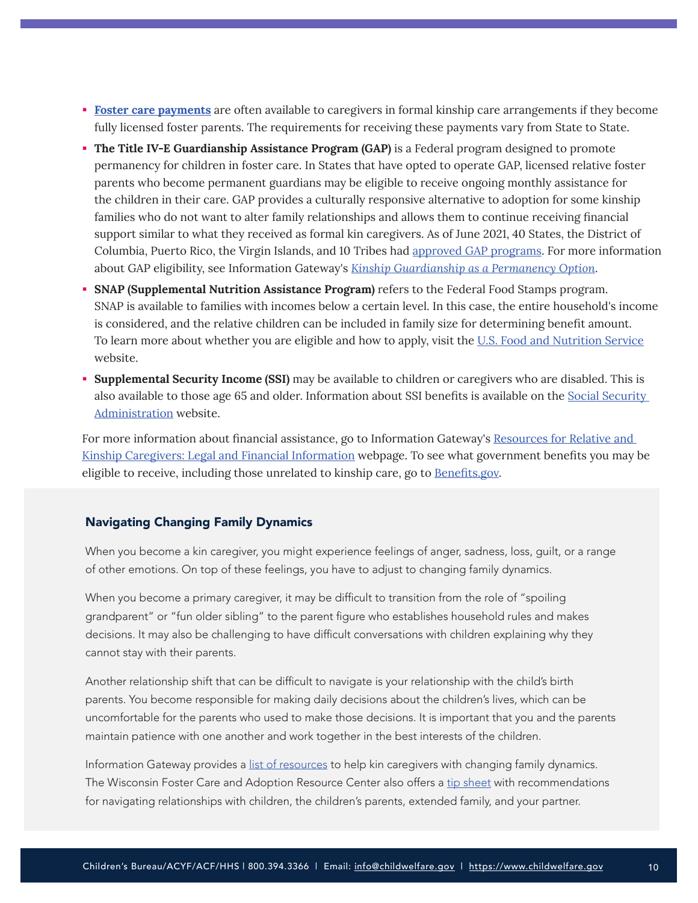- **[Foster care payments](https://www.benefits.gov/benefit/788)** are often available to caregivers in formal kinship care arrangements if they become fully licensed foster parents. The requirements for receiving these payments vary from State to State.
- **The Title IV-E Guardianship Assistance Program (GAP)** is a Federal program designed to promote permanency for children in foster care. In States that have opted to operate GAP, licensed relative foster parents who become permanent guardians may be eligible to receive ongoing monthly assistance for the children in their care. GAP provides a culturally responsive alternative to adoption for some kinship families who do not want to alter family relationships and allows them to continue receiving financial support similar to what they received as formal kin caregivers. As of June 2021, 40 States, the District of Columbia, Puerto Rico, the Virgin Islands, and 10 Tribes had [approved GAP programs](https://www.grandfamilies.org/Topics/Guardianship-Assistance). For more information about GAP eligibility, see Information Gateway's *[Kinship Guardianship as a Permanency Option](https://www.childwelfare.gov/topics/systemwide/laws-policies/statutes/kinshipguardianship/)*.
- **SNAP (Supplemental Nutrition Assistance Program)** refers to the Federal Food Stamps program. SNAP is available to families with incomes below a certain level. In this case, the entire household's income is considered, and the relative children can be included in family size for determining benefit amount. To learn more about whether you are eligible and how to apply, visit the [U.S. Food and Nutrition Service](https://www.fns.usda.gov/snap/recipient/eligibility) website.
- **Supplemental Security Income (SSI)** may be available to children or caregivers who are disabled. This is also available to those age 65 and older. Information about SSI benefits is available on the [Social Security](https://www.ssa.gov/ssi/text-eligibility-ussi.htm)  [Administration](https://www.ssa.gov/ssi/text-eligibility-ussi.htm) website.

For more information about financial assistance, go to Information Gateway's Resources for Relative and [Kinship Caregivers: Legal and Financial Information](https://www.childwelfare.gov/topics/outofhome/kinship/resourcesforcaregivers/legalinfo/) webpage. To see what government benefits you may be eligible to receive, including those unrelated to kinship care, go to **[Benefits.gov](https://www.benefits.gov/)**.

## Navigating Changing Family Dynamics

When you become a kin caregiver, you might experience feelings of anger, sadness, loss, guilt, or a range of other emotions. On top of these feelings, you have to adjust to changing family dynamics.

When you become a primary caregiver, it may be difficult to transition from the role of "spoiling grandparent" or "fun older sibling" to the parent figure who establishes household rules and makes decisions. It may also be challenging to have difficult conversations with children explaining why they cannot stay with their parents.

Another relationship shift that can be difficult to navigate is your relationship with the child's birth parents. You become responsible for making daily decisions about the children's lives, which can be uncomfortable for the parents who used to make those decisions. It is important that you and the parents maintain patience with one another and work together in the best interests of the children.

Information Gateway provides a [list of resources](https://www.childwelfare.gov/topics/outofhome/kinship/resourcesforcaregivers/familydynamics/) to help kin caregivers with changing family dynamics. The Wisconsin Foster Care and Adoption Resource Center also offers a [tip sheet](https://www.co.portage.wi.us/home/showpublisheddocument/23626/636858221581730000) with recommendations for navigating relationships with children, the children's parents, extended family, and your partner.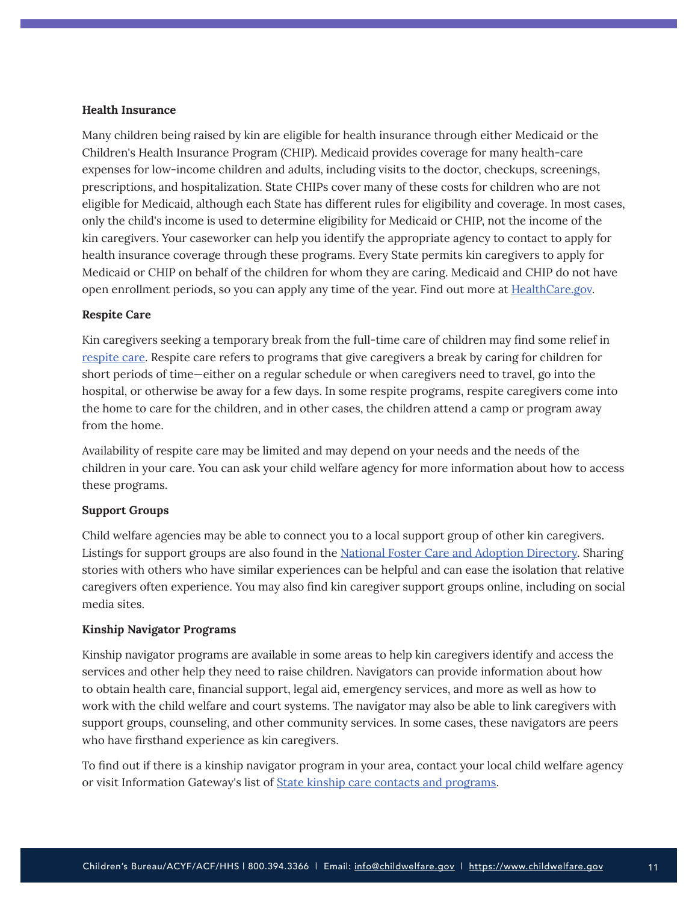#### **Health Insurance**

Many children being raised by kin are eligible for health insurance through either Medicaid or the Children's Health Insurance Program (CHIP). Medicaid provides coverage for many health-care expenses for low-income children and adults, including visits to the doctor, checkups, screenings, prescriptions, and hospitalization. State CHIPs cover many of these costs for children who are not eligible for Medicaid, although each State has different rules for eligibility and coverage. In most cases, only the child's income is used to determine eligibility for Medicaid or CHIP, not the income of the kin caregivers. Your caseworker can help you identify the appropriate agency to contact to apply for health insurance coverage through these programs. Every State permits kin caregivers to apply for Medicaid or CHIP on behalf of the children for whom they are caring. Medicaid and CHIP do not have open enrollment periods, so you can apply any time of the year. Find out more at [HealthCare.gov.](https://www.healthcare.gov/medicaid-chip/getting-medicaid-chip/)

#### **Respite Care**

Kin caregivers seeking a temporary break from the full-time care of children may find some relief in [respite care](https://www.childwelfare.gov/topics/preventing/prevention-programs/respite/). Respite care refers to programs that give caregivers a break by caring for children for short periods of time—either on a regular schedule or when caregivers need to travel, go into the hospital, or otherwise be away for a few days. In some respite programs, respite caregivers come into the home to care for the children, and in other cases, the children attend a camp or program away from the home.

Availability of respite care may be limited and may depend on your needs and the needs of the children in your care. You can ask your child welfare agency for more information about how to access these programs.

#### **Support Groups**

Child welfare agencies may be able to connect you to a local support group of other kin caregivers. Listings for support groups are also found in the [National Foster Care and Adoption Directory](https://www.childwelfare.gov/nfcad/). Sharing stories with others who have similar experiences can be helpful and can ease the isolation that relative caregivers often experience. You may also find kin caregiver support groups online, including on social media sites.

#### **Kinship Navigator Programs**

Kinship navigator programs are available in some areas to help kin caregivers identify and access the services and other help they need to raise children. Navigators can provide information about how to obtain health care, financial support, legal aid, emergency services, and more as well as how to work with the child welfare and court systems. The navigator may also be able to link caregivers with support groups, counseling, and other community services. In some cases, these navigators are peers who have firsthand experience as kin caregivers.

To find out if there is a kinship navigator program in your area, contact your local child welfare agency or visit Information Gateway's list of [State kinship care contacts and programs](https://www.childwelfare.gov/organizations/?CWIGFunctionsaction=rols:main.dspList&rolType=Custom&RS_ID=148).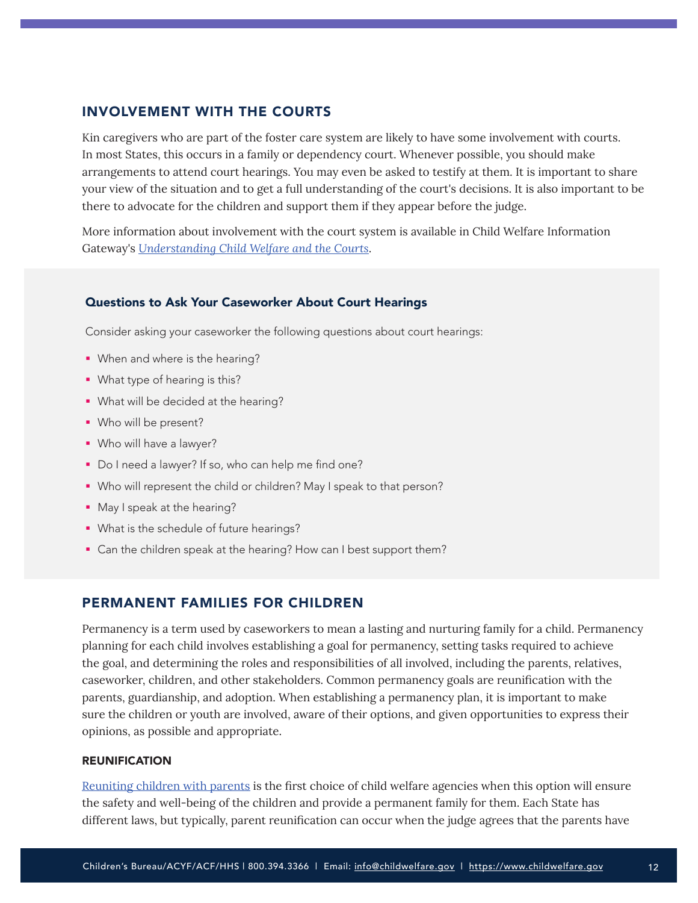## <span id="page-11-0"></span>INVOLVEMENT WITH THE COURTS

Kin caregivers who are part of the foster care system are likely to have some involvement with courts. In most States, this occurs in a family or dependency court. Whenever possible, you should make arrangements to attend court hearings. You may even be asked to testify at them. It is important to share your view of the situation and to get a full understanding of the court's decisions. It is also important to be there to advocate for the children and support them if they appear before the judge.

More information about involvement with the court system is available in Child Welfare Information Gateway's *[Understanding Child Welfare and the Courts](https://www.childwelfare.gov/pubs/factsheets/cwandcourts/)*.

## Questions to Ask Your Caseworker About Court Hearings

Consider asking your caseworker the following questions about court hearings:

- **When and where is the hearing?**
- **What type of hearing is this?**
- **What will be decided at the hearing?**
- Who will be present?
- Who will have a lawyer?
- Do I need a lawyer? If so, who can help me find one?
- Who will represent the child or children? May I speak to that person?
- **May I speak at the hearing?**
- What is the schedule of future hearings?
- Can the children speak at the hearing? How can I best support them?

## PERMANENT FAMILIES FOR CHILDREN

Permanency is a term used by caseworkers to mean a lasting and nurturing family for a child. Permanency planning for each child involves establishing a goal for permanency, setting tasks required to achieve the goal, and determining the roles and responsibilities of all involved, including the parents, relatives, caseworker, children, and other stakeholders. Common permanency goals are reunification with the parents, guardianship, and adoption. When establishing a permanency plan, it is important to make sure the children or youth are involved, aware of their options, and given opportunities to express their opinions, as possible and appropriate.

#### **REUNIFICATION**

[Reuniting children with parents](https://www.childwelfare.gov/topics/permanency/reunification/) is the first choice of child welfare agencies when this option will ensure the safety and well-being of the children and provide a permanent family for them. Each State has different laws, but typically, parent reunification can occur when the judge agrees that the parents have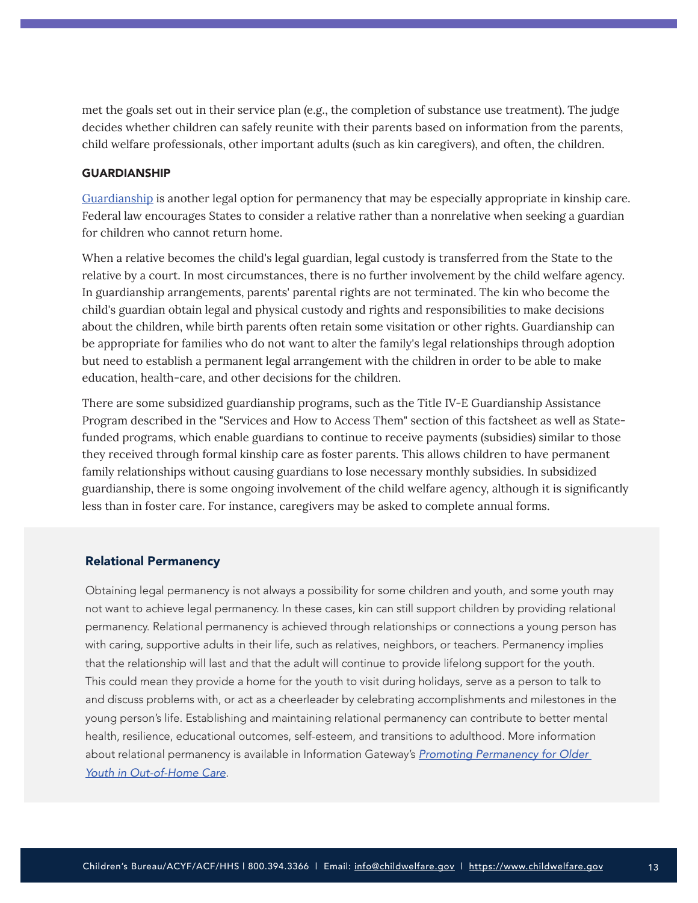met the goals set out in their service plan (e.g., the completion of substance use treatment). The judge decides whether children can safely reunite with their parents based on information from the parents, child welfare professionals, other important adults (such as kin caregivers), and often, the children.

#### GUARDIANSHIP

[Guardianship](https://www.childwelfare.gov/topics/permanency/guardianship/) is another legal option for permanency that may be especially appropriate in kinship care. Federal law encourages States to consider a relative rather than a nonrelative when seeking a guardian for children who cannot return home.

When a relative becomes the child's legal guardian, legal custody is transferred from the State to the relative by a court. In most circumstances, there is no further involvement by the child welfare agency. In guardianship arrangements, parents' parental rights are not terminated. The kin who become the child's guardian obtain legal and physical custody and rights and responsibilities to make decisions about the children, while birth parents often retain some visitation or other rights. Guardianship can be appropriate for families who do not want to alter the family's legal relationships through adoption but need to establish a permanent legal arrangement with the children in order to be able to make education, health-care, and other decisions for the children.

There are some subsidized guardianship programs, such as the Title IV-E Guardianship Assistance Program described in the "Services and How to Access Them" section of this factsheet as well as Statefunded programs, which enable guardians to continue to receive payments (subsidies) similar to those they received through formal kinship care as foster parents. This allows children to have permanent family relationships without causing guardians to lose necessary monthly subsidies. In subsidized guardianship, there is some ongoing involvement of the child welfare agency, although it is significantly less than in foster care. For instance, caregivers may be asked to complete annual forms.

#### Relational Permanency

Obtaining legal permanency is not always a possibility for some children and youth, and some youth may not want to achieve legal permanency. In these cases, kin can still support children by providing relational permanency. Relational permanency is achieved through relationships or connections a young person has with caring, supportive adults in their life, such as relatives, neighbors, or teachers. Permanency implies that the relationship will last and that the adult will continue to provide lifelong support for the youth. This could mean they provide a home for the youth to visit during holidays, serve as a person to talk to and discuss problems with, or act as a cheerleader by celebrating accomplishments and milestones in the young person's life. Establishing and maintaining relational permanency can contribute to better mental health, resilience, educational outcomes, self-esteem, and transitions to adulthood. More information about relational permanency is available in Information Gateway's *[Promoting Permanency for Older](https://www.childwelfare.gov/pubs/bulletins-permanency/)  [Youth in Out-of-Home Care](https://www.childwelfare.gov/pubs/bulletins-permanency/)*.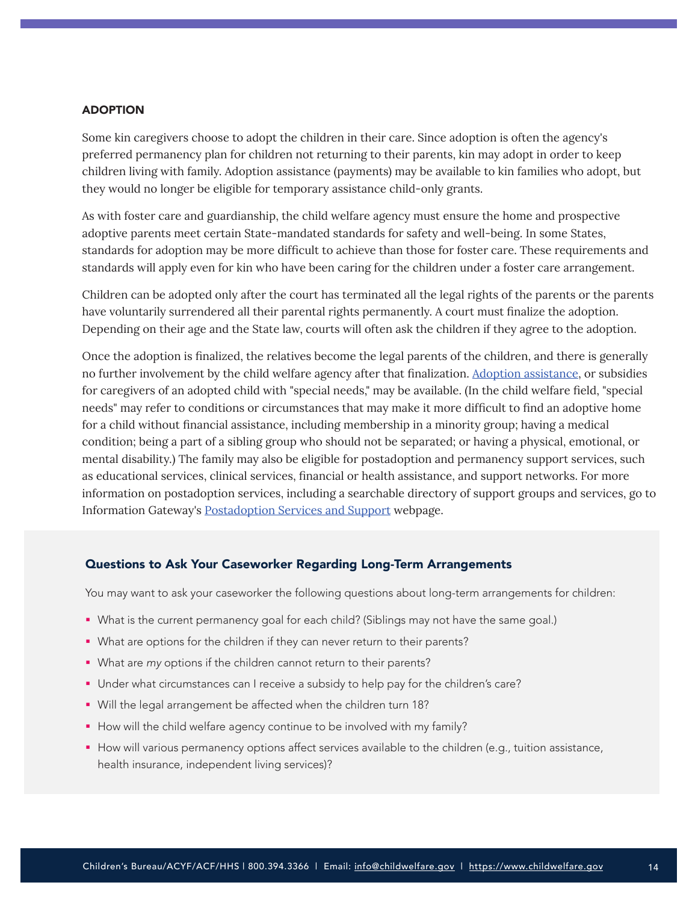#### ADOPTION

Some kin caregivers choose to adopt the children in their care. Since adoption is often the agency's preferred permanency plan for children not returning to their parents, kin may adopt in order to keep children living with family. Adoption assistance (payments) may be available to kin families who adopt, but they would no longer be eligible for temporary assistance child-only grants.

As with foster care and guardianship, the child welfare agency must ensure the home and prospective adoptive parents meet certain State-mandated standards for safety and well-being. In some States, standards for adoption may be more difficult to achieve than those for foster care. These requirements and standards will apply even for kin who have been caring for the children under a foster care arrangement.

Children can be adopted only after the court has terminated all the legal rights of the parents or the parents have voluntarily surrendered all their parental rights permanently. A court must finalize the adoption. Depending on their age and the State law, courts will often ask the children if they agree to the adoption.

Once the adoption is finalized, the relatives become the legal parents of the children, and there is generally no further involvement by the child welfare agency after that finalization. [Adoption assistance](https://www.benefits.gov/benefit/822), or subsidies for caregivers of an adopted child with "special needs," may be available. (In the child welfare field, "special needs" may refer to conditions or circumstances that may make it more difficult to find an adoptive home for a child without financial assistance, including membership in a minority group; having a medical condition; being a part of a sibling group who should not be separated; or having a physical, emotional, or mental disability.) The family may also be eligible for postadoption and permanency support services, such as educational services, clinical services, financial or health assistance, and support networks. For more information on postadoption services, including a searchable directory of support groups and services, go to Information Gateway's [Postadoption Services and Support](https://www.childwelfare.gov/topics/adoption/adopt-parenting/services/postadoption/) webpage.

## Questions to Ask Your Caseworker Regarding Long-Term Arrangements

You may want to ask your caseworker the following questions about long-term arrangements for children:

- What is the current permanency goal for each child? (Siblings may not have the same goal.)
- What are options for the children if they can never return to their parents?
- What are *my* options if the children cannot return to their parents?
- Under what circumstances can I receive a subsidy to help pay for the children's care?
- Will the legal arrangement be affected when the children turn 18?
- How will the child welfare agency continue to be involved with my family?
- **How will various permanency options affect services available to the children (e.g., tuition assistance,** health insurance, independent living services)?